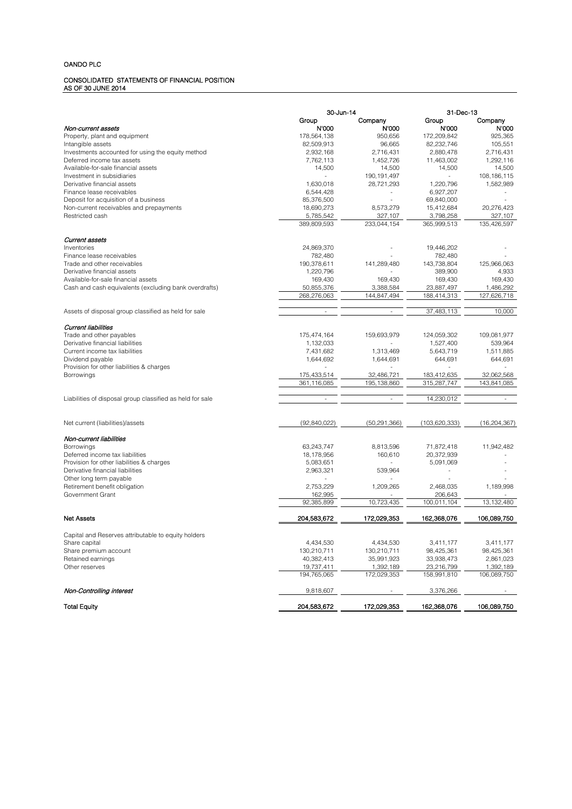### CONSOLIDATED STATEMENTS OF FINANCIAL POSITION AS OF 30 JUNE 2014

|                                                                                 | 30-Jun-14                |                           | 31-Dec-13                |                         |
|---------------------------------------------------------------------------------|--------------------------|---------------------------|--------------------------|-------------------------|
|                                                                                 | Group                    | Company                   | Group                    | Company                 |
| Non-current assets                                                              | N'000                    | N'000                     | N'000                    | N'000                   |
| Property, plant and equipment                                                   | 178,564,138              | 950,656                   | 172,209,842              | 925,365                 |
| Intangible assets                                                               | 82,509,913               | 96,665                    | 82,232,746               | 105,551                 |
| Investments accounted for using the equity method<br>Deferred income tax assets | 2,932,168<br>7,762,113   | 2,716,431<br>1,452,726    | 2,880,478<br>11,463,002  | 2,716,431<br>1,292,116  |
| Available-for-sale financial assets                                             | 14,500                   | 14,500                    | 14,500                   | 14,500                  |
| Investment in subsidiaries                                                      | $\sim$                   | 190, 191, 497             | $\overline{\phantom{a}}$ | 108, 186, 115           |
| Derivative financial assets                                                     | 1,630,018                | 28,721,293                | 1,220,796                | 1,582,989               |
| Finance lease receivables                                                       | 6,544,428                |                           | 6,927,207                |                         |
| Deposit for acquisition of a business                                           | 85,376,500               |                           | 69,840,000               |                         |
| Non-current receivables and prepayments                                         | 18,690,273               | 8,573,279                 | 15,412,684               | 20,276,423              |
| Restricted cash                                                                 | 5,785,542                | 327,107                   | 3,798,258                | 327,107                 |
|                                                                                 | 389,809,593              | 233.044.154               | 365,999,513              | 135,426,597             |
| Current assets                                                                  |                          |                           |                          |                         |
| Inventories                                                                     | 24,869,370               |                           | 19,446,202               |                         |
| Finance lease receivables                                                       | 782,480                  |                           | 782,480                  |                         |
| Trade and other receivables                                                     | 190,378,611              | 141,289,480               | 143,738,804              | 125,966,063             |
| Derivative financial assets                                                     | 1,220,796                |                           | 389,900                  | 4,933                   |
| Available-for-sale financial assets                                             | 169,430                  | 169,430                   | 169,430                  | 169,430                 |
| Cash and cash equivalents (excluding bank overdrafts)                           | 50,855,376               | 3,388,584                 | 23,887,497               | 1,486,292               |
|                                                                                 | 268,276,063              | 144,847,494               | 188,414,313              | 127,626,718             |
| Assets of disposal group classified as held for sale                            |                          |                           | 37,483,113               | 10,000                  |
|                                                                                 |                          |                           |                          |                         |
| <b>Current liabilities</b>                                                      |                          |                           |                          |                         |
| Trade and other payables                                                        | 175,474,164              | 159,693,979               | 124,059,302              | 109,081,977             |
| Derivative financial liabilities                                                | 1,132,033                |                           | 1,527,400                | 539,964                 |
| Current income tax liabilities                                                  | 7,431,682                | 1,313,469                 | 5,643,719                | 1,511,885               |
| Dividend payable<br>Provision for other liabilities & charges                   | 1,644,692                | 1,644,691                 | 644,691                  | 644,691                 |
| Borrowings                                                                      | 175,433,514              | 32,486,721                | 183,412,635              | 32,062,568              |
|                                                                                 | 361,116,085              | 195.138.860               | 315,287,747              | 143,841,085             |
|                                                                                 |                          |                           |                          |                         |
| Liabilities of disposal group classified as held for sale                       | ÷                        | ٠                         | 14,230,012               |                         |
|                                                                                 |                          |                           |                          |                         |
| Net current (liabilities)/assets                                                | (92,840,022)             | (50, 291, 366)            | (103, 620, 333)          | (16, 204, 367)          |
| Non-current liabilities                                                         |                          |                           |                          |                         |
| Borrowings                                                                      | 63,243,747               | 8,813,596                 | 71,872,418               | 11,942,482              |
| Deferred income tax liabilities                                                 | 18,178,956               | 160,610                   | 20,372,939               |                         |
| Provision for other liabilities & charges                                       | 5,083,651                |                           | 5,091,069                |                         |
| Derivative financial liabilities                                                | 2,963,321                | 539,964                   |                          |                         |
| Other long term payable                                                         |                          |                           |                          |                         |
| Retirement benefit obligation                                                   | 2,753,229                | 1,209,265                 | 2.468.035                | 1,189,998               |
| Government Grant                                                                | 162,995                  |                           | 206,643                  |                         |
|                                                                                 | 92,385,899               | 10,723,435                | 100,011,104              | 13, 132, 480            |
| <b>Net Assets</b>                                                               | 204,583,672              | 172,029,353               | 162,368,076              | 106,089,750             |
|                                                                                 |                          |                           |                          |                         |
| Capital and Reserves attributable to equity holders                             |                          |                           |                          |                         |
| Share capital<br>Share premium account                                          | 4,434,530<br>130,210,711 | 4,434,530                 | 3,411,177<br>98,425,361  | 3,411,177<br>98,425,361 |
| Retained earnings                                                               | 40,382,413               | 130,210,711<br>35,991,923 | 33,938,473               | 2,861,023               |
| Other reserves                                                                  | 19,737,411               | 1,392,189                 | 23,216,799               | 1,392,189               |
|                                                                                 | 194,765,065              | 172,029,353               | 158,991,810              | 106,089,750             |
| Non-Controlling interest                                                        | 9,818,607                |                           | 3,376,266                |                         |
|                                                                                 |                          |                           |                          |                         |
| <b>Total Equity</b>                                                             | 204,583,672              | 172.029,353               | 162,368,076              | 106.089.750             |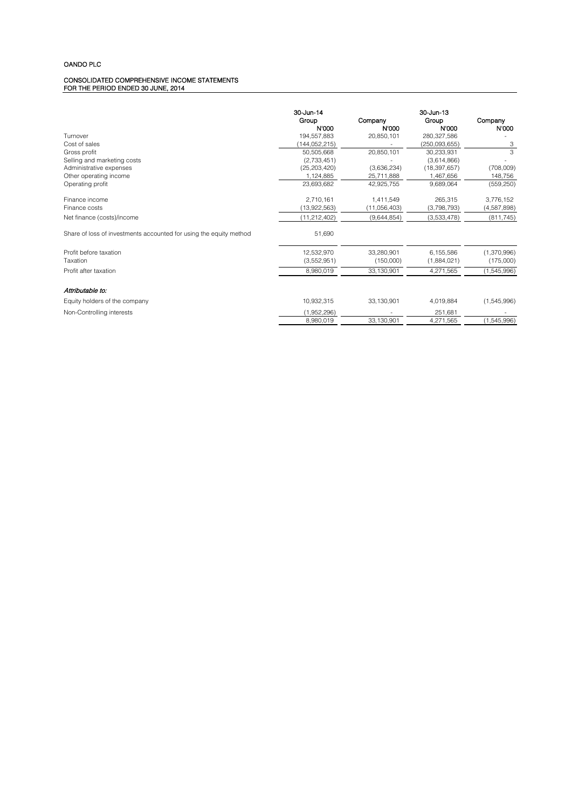#### CONSOLIDATED COMPREHENSIVE INCOME STATEMENTS FOR THE PERIOD ENDED 30 JUNE, 2014

|                                                                    | 30-Jun-14      |                  | 30-Jun-13      |                  |
|--------------------------------------------------------------------|----------------|------------------|----------------|------------------|
|                                                                    | Group<br>N'000 | Company<br>N'000 | Group<br>N'000 | Company<br>N'000 |
| Turnover                                                           | 194,557,883    | 20,850,101       | 280,327,586    |                  |
| Cost of sales                                                      | (144.052.215)  |                  | (250.093.655)  | 3                |
| Gross profit                                                       | 50.505.668     | 20,850,101       | 30.233.931     | 3                |
| Selling and marketing costs                                        | (2,733,451)    |                  | (3,614,866)    |                  |
| Administrative expenses                                            | (25, 203, 420) | (3,636,234)      | (18, 397, 657) | (708,009)        |
| Other operating income                                             | 1,124,885      | 25,711,888       | 1,467,656      | 148,756          |
| Operating profit                                                   | 23,693,682     | 42,925,755       | 9.689.064      | (559, 250)       |
| Finance income                                                     | 2,710,161      | 1.411.549        | 265.315        | 3,776,152        |
| Finance costs                                                      | (13,922,563)   | (11,056,403)     | (3,798,793)    | (4,587,898)      |
| Net finance (costs)/income                                         | (11,212,402)   | (9,644,854)      | (3,533,478)    | (811, 745)       |
| Share of loss of investments accounted for using the equity method | 51,690         |                  |                |                  |
| Profit before taxation                                             | 12,532,970     | 33.280.901       | 6,155,586      | (1,370,996)      |
| Taxation                                                           | (3,552,951)    | (150,000)        | (1,884,021)    | (175,000)        |
| Profit after taxation                                              | 8,980,019      | 33, 130, 901     | 4,271,565      | (1,545,996)      |
| Attributable to:                                                   |                |                  |                |                  |
| Equity holders of the company                                      | 10,932,315     | 33,130,901       | 4,019,884      | (1,545,996)      |
| Non-Controlling interests                                          | (1,952,296)    |                  | 251,681        |                  |
|                                                                    | 8,980,019      | 33,130,901       | 4,271,565      | (1,545,996)      |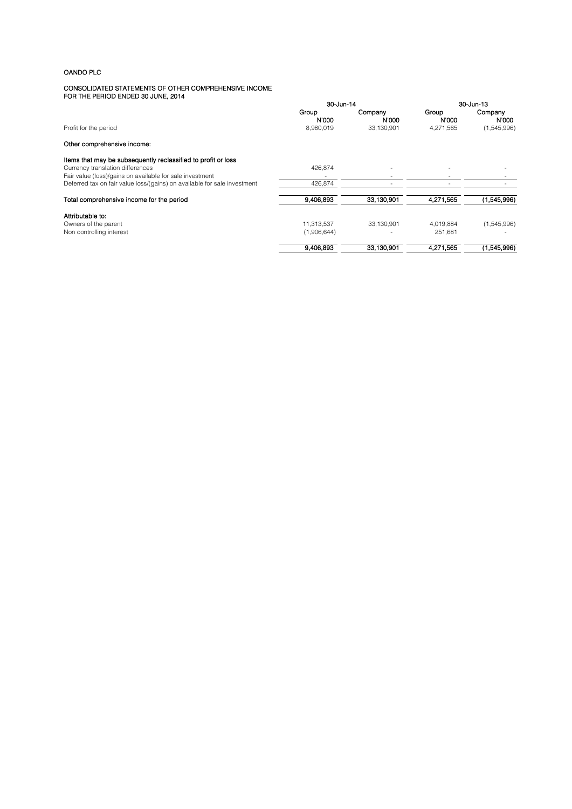#### CONSOLIDATED STATEMENTS OF OTHER COMPREHENSIVE INCOME FOR THE PERIOD ENDED 30 JUNE, 2014

|                                                                          | 30-Jun-14      |                  | 30-Jun-13                |                  |
|--------------------------------------------------------------------------|----------------|------------------|--------------------------|------------------|
|                                                                          | Group<br>N'000 | Company<br>N'000 | Group<br>N'000           | Company<br>N'000 |
| Profit for the period                                                    | 8,980,019      | 33,130,901       | 4,271,565                | (1,545,996)      |
| Other comprehensive income:                                              |                |                  |                          |                  |
| Items that may be subsequently reclassified to profit or loss            |                |                  |                          |                  |
| Currency translation differences                                         | 426.874        |                  | $\overline{\phantom{a}}$ |                  |
| Fair value (loss)/gains on available for sale investment                 |                |                  |                          |                  |
| Deferred tax on fair value loss/(gains) on available for sale investment | 426,874        |                  |                          |                  |
| Total comprehensive income for the period                                | 9.406.893      | 33.130,901       | 4,271,565                | (1,545,996)      |
| Attributable to:                                                         |                |                  |                          |                  |
| Owners of the parent                                                     | 11,313,537     | 33,130,901       | 4,019,884                | (1,545,996)      |
| Non controlling interest                                                 | (1,906,644)    |                  | 251.681                  |                  |
|                                                                          | 9.406.893      | 33.130.901       | 4.271.565                | (1,545,996)      |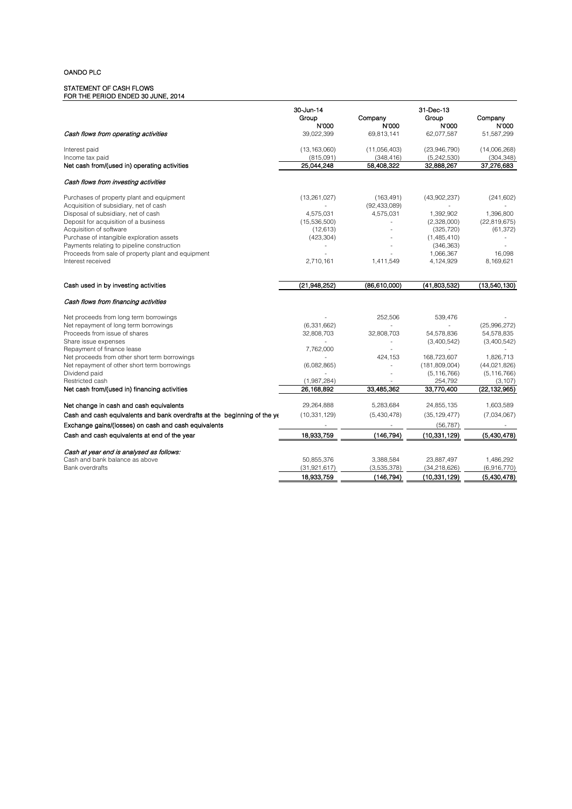#### STATEMENT OF CASH FLOWS FOR THE PERIOD ENDED 30 JUNE, 2014

| Cash flows from operating activities                                                                                       | 30-Jun-14<br>Group<br>N'000<br>39,022,399 | Company<br>N'000<br>69,813,141            | 31-Dec-13<br>Group<br>N'000<br>62,077,587 | Company<br>N'000<br>51,587,299 |
|----------------------------------------------------------------------------------------------------------------------------|-------------------------------------------|-------------------------------------------|-------------------------------------------|--------------------------------|
| Interest paid<br>Income tax paid                                                                                           | (13, 163, 060)<br>(815,091)               | (11,056,403)<br>(348, 416)                | (23,946,790)<br>(5,242,530)               | (14,006,268)<br>(304, 348)     |
| Net cash from/(used in) operating activities                                                                               | 25,044,248                                | 58,408,322                                | 32,888,267                                | 37,276,683                     |
| Cash flows from investing activities                                                                                       |                                           |                                           |                                           |                                |
| Purchases of property plant and equipment<br>Acquisition of subsidiary, net of cash<br>Disposal of subsidiary, net of cash | (13, 261, 027)<br>4,575,031               | (163, 491)<br>(92, 433, 089)<br>4,575,031 | (43,902,237)<br>1,392,902                 | (241, 602)<br>1,396,800        |
| Deposit for acquisition of a business                                                                                      | (15,536,500)                              |                                           | (2,328,000)                               | (22,819,675)                   |
| Acquisition of software                                                                                                    | (12, 613)                                 |                                           | (325, 720)                                | (61, 372)                      |
| Purchase of intangible exploration assets<br>Payments relating to pipeline construction                                    | (423, 304)<br>÷,                          |                                           | (1,485,410)<br>(346, 363)                 |                                |
| Proceeds from sale of property plant and equipment                                                                         |                                           |                                           | 1,066,367                                 | 16,098                         |
| Interest received                                                                                                          | 2,710,161                                 | 1,411,549                                 | 4,124,929                                 | 8,169,621                      |
|                                                                                                                            |                                           |                                           |                                           |                                |
| Cash used in by investing activities                                                                                       | (21,948,252)                              | (86, 610, 000)                            | (41,803,532)                              | (13,540,130)                   |
| Cash flows from financing activities                                                                                       |                                           |                                           |                                           |                                |
| Net proceeds from long term borrowings                                                                                     |                                           | 252,506                                   | 539,476                                   |                                |
| Net repayment of long term borrowings                                                                                      | (6,331,662)                               |                                           |                                           | (25,996,272)                   |
| Proceeds from issue of shares                                                                                              | 32,808,703                                | 32,808,703                                | 54,578,836                                | 54,578,835                     |
| Share issue expenses                                                                                                       |                                           |                                           | (3,400,542)                               | (3,400,542)                    |
| Repayment of finance lease                                                                                                 | 7,762,000                                 |                                           |                                           |                                |
| Net proceeds from other short term borrowings<br>Net repayment of other short term borrowings                              | (6,082,865)                               | 424,153                                   | 168,723,607<br>(181, 809, 004)            | 1,826,713<br>(44,021,826)      |
| Dividend paid                                                                                                              |                                           |                                           | (5, 116, 766)                             | (5, 116, 766)                  |
| Restricted cash                                                                                                            | (1,987,284)                               |                                           | 254,792                                   | (3, 107)                       |
| Net cash from/(used in) financing activities                                                                               | 26, 168, 892                              | 33,485,362                                | 33,770,400                                | (22, 132, 965)                 |
| Net change in cash and cash equivalents                                                                                    | 29,264,888                                | 5,283,684                                 | 24,855,135                                | 1,603,589                      |
| Cash and cash equivalents and bank overdrafts at the beginning of the ye                                                   | (10, 331, 129)                            | (5,430,478)                               | (35, 129, 477)                            | (7,034,067)                    |
| Exchange gains/(losses) on cash and cash equivalents                                                                       |                                           |                                           | (56, 787)                                 | $\sim$                         |
| Cash and cash equivalents at end of the year                                                                               | 18.933.759                                | (146, 794)                                | (10, 331, 129)                            | (5,430,478)                    |
|                                                                                                                            |                                           |                                           |                                           |                                |
| Cash at year end is analysed as follows:                                                                                   |                                           |                                           |                                           |                                |
| Cash and bank balance as above                                                                                             | 50,855,376                                | 3,388,584                                 | 23,887,497                                | 1,486,292                      |
| <b>Bank overdrafts</b>                                                                                                     | (31, 921, 617)                            | (3,535,378)                               | (34, 218, 626)                            | (6,916,770)                    |
|                                                                                                                            | 18,933,759                                | (146.794)                                 | (10,331,129)                              | (5,430,478)                    |